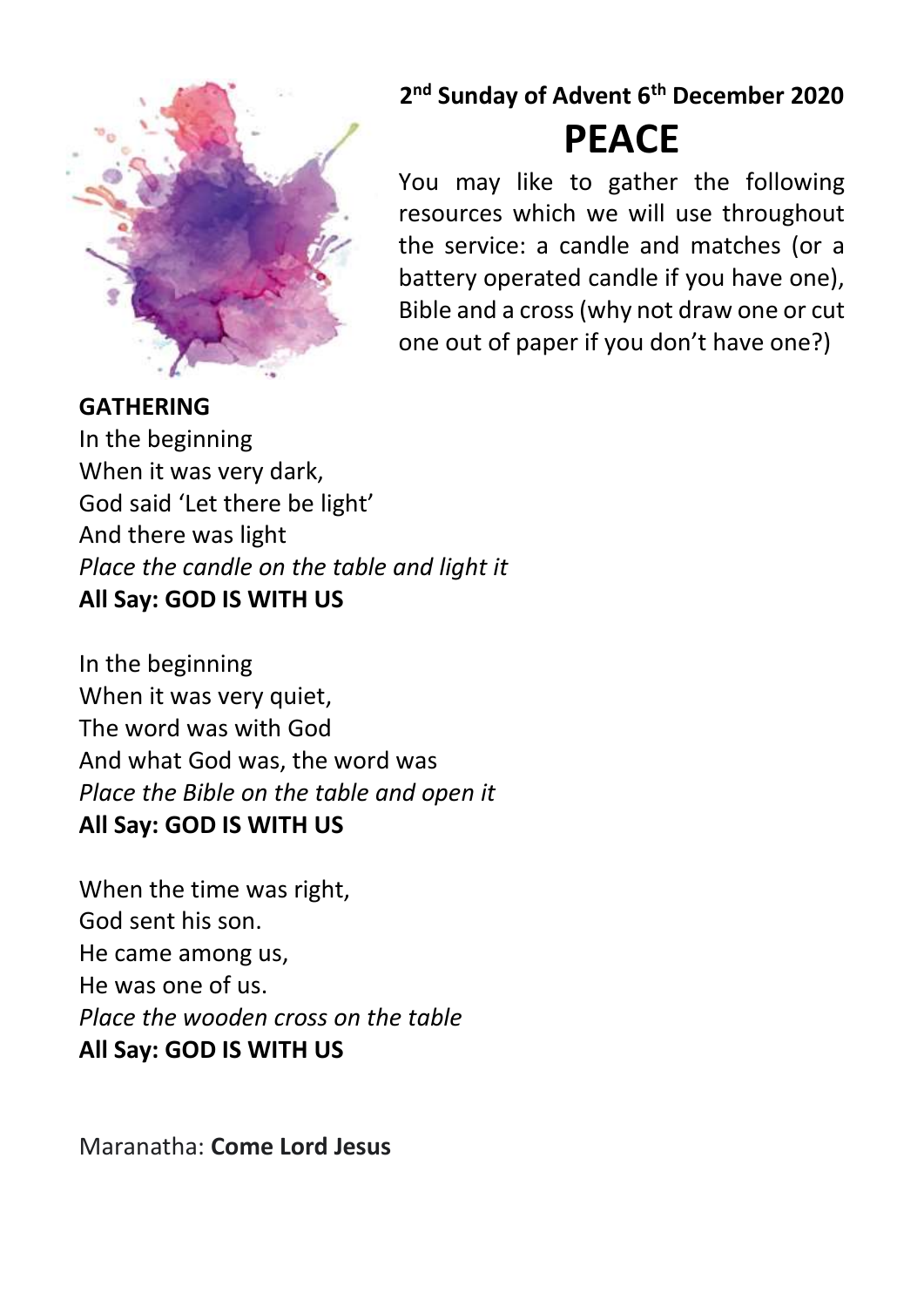

**2 nd Sunday of Advent 6th December 2020**

# **PEACE**

You may like to gather the following resources which we will use throughout the service: a candle and matches (or a battery operated candle if you have one), Bible and a cross (why not draw one or cut one out of paper if you don't have one?)

#### **GATHERING**

In the beginning When it was very dark, God said 'Let there be light' And there was light *Place the candle on the table and light it* **All Say: GOD IS WITH US**

In the beginning When it was very quiet, The word was with God And what God was, the word was *Place the Bible on the table and open it* **All Say: GOD IS WITH US**

When the time was right, God sent his son. He came among us, He was one of us. *Place the wooden cross on the table* **All Say: GOD IS WITH US**

Maranatha: **Come Lord Jesus**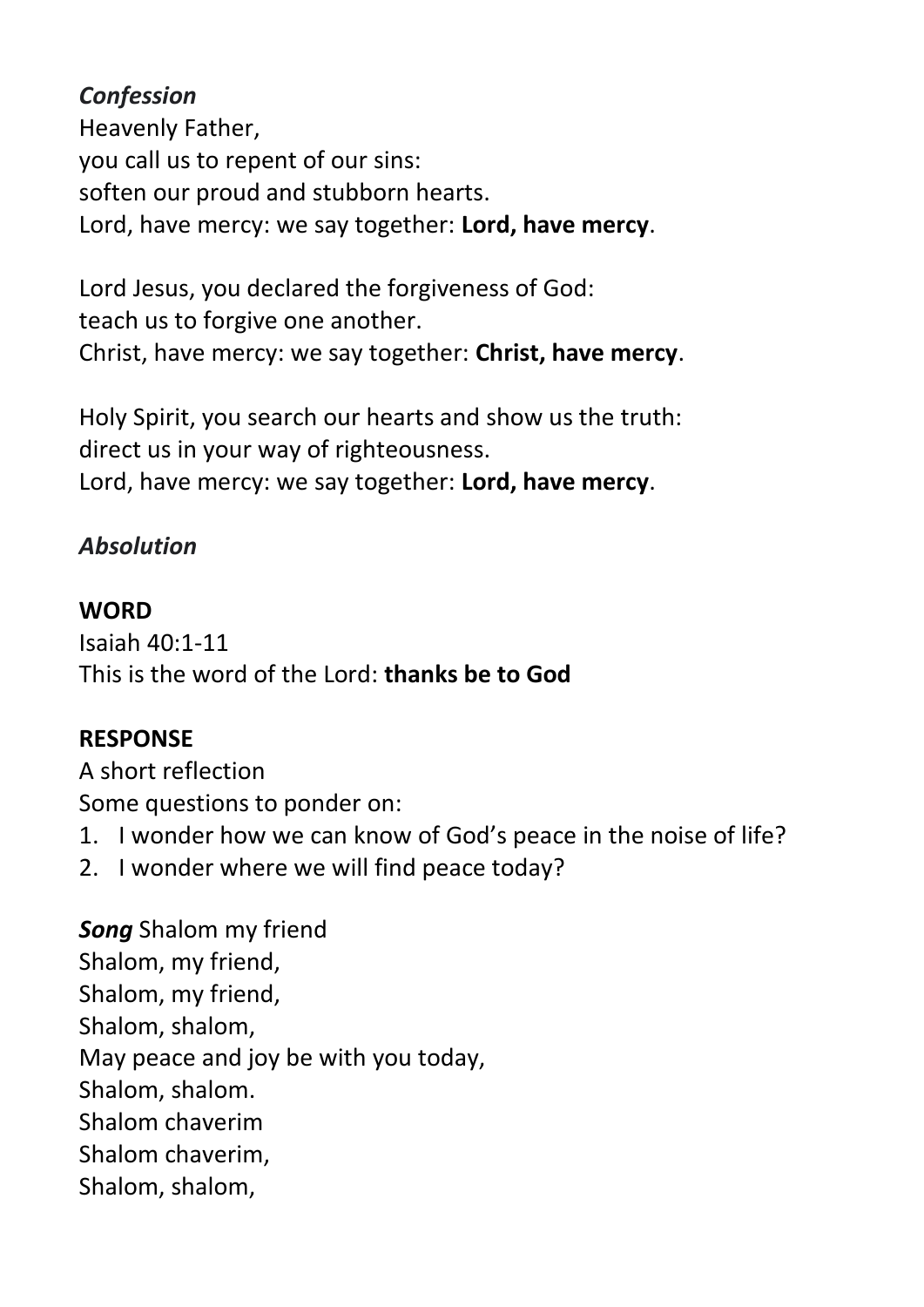*Confession* Heavenly Father, you call us to repent of our sins: soften our proud and stubborn hearts. Lord, have mercy: we say together: **Lord, have mercy**.

Lord Jesus, you declared the forgiveness of God: teach us to forgive one another. Christ, have mercy: we say together: **Christ, have mercy**.

Holy Spirit, you search our hearts and show us the truth: direct us in your way of righteousness. Lord, have mercy: we say together: **Lord, have mercy**.

# *Absolution*

#### **WORD**

Isaiah 40:1-11 This is the word of the Lord: **thanks be to God**

## **RESPONSE**

A short reflection Some questions to ponder on:

- 1. I wonder how we can know of God's peace in the noise of life?
- 2. I wonder where we will find peace today?

*Song* Shalom my friend Shalom, my friend, Shalom, my friend, Shalom, shalom, May peace and joy be with you today, Shalom, shalom. Shalom chaverim Shalom chaverim, Shalom, shalom,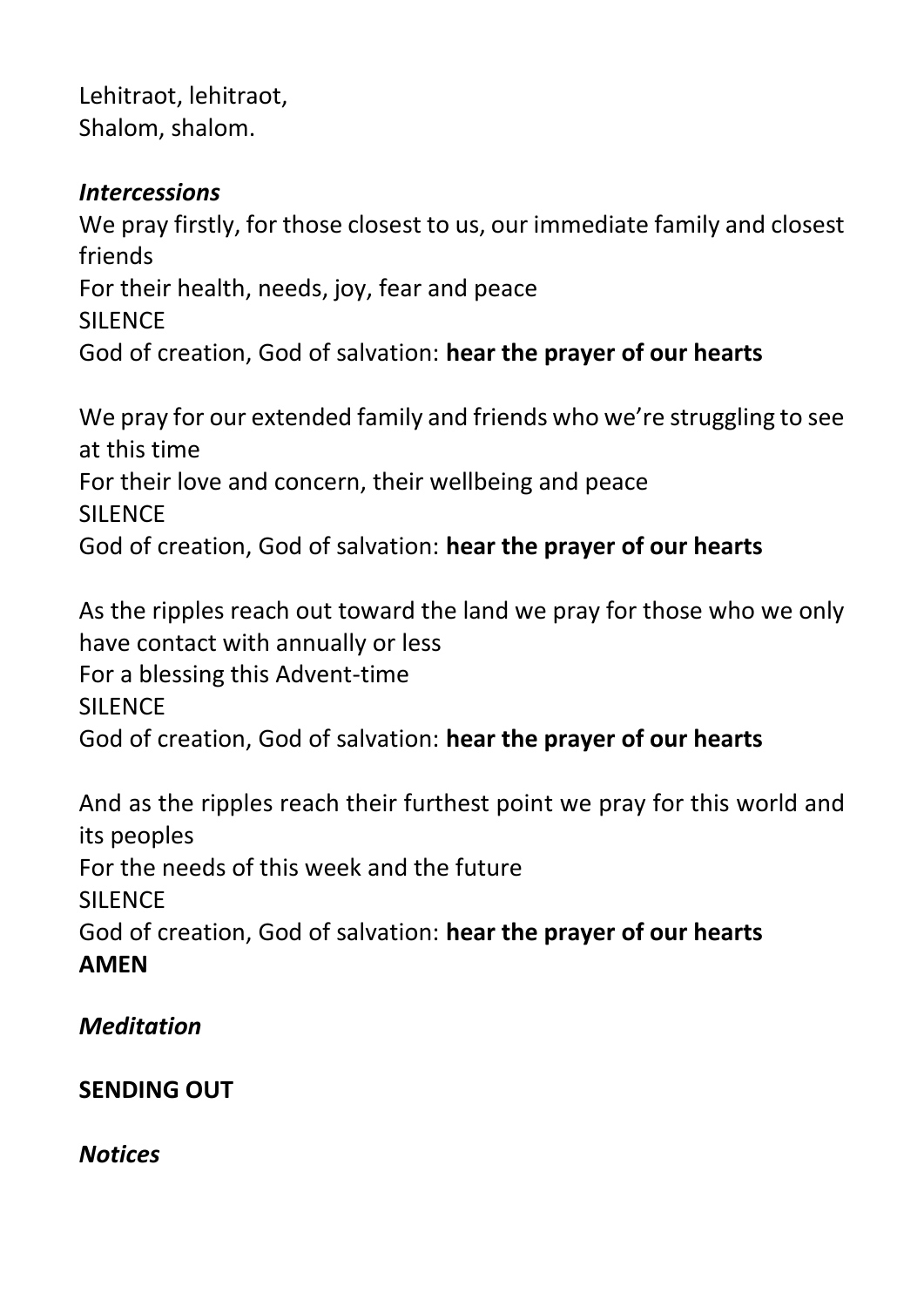Lehitraot, lehitraot, Shalom, shalom.

#### *Intercessions*

We pray firstly, for those closest to us, our immediate family and closest friends For their health, needs, joy, fear and peace SILENCE God of creation, God of salvation: **hear the prayer of our hearts**

We pray for our extended family and friends who we're struggling to see at this time For their love and concern, their wellbeing and peace SILENCE God of creation, God of salvation: **hear the prayer of our hearts**

As the ripples reach out toward the land we pray for those who we only have contact with annually or less For a blessing this Advent-time SILENCE God of creation, God of salvation: **hear the prayer of our hearts**

And as the ripples reach their furthest point we pray for this world and its peoples For the needs of this week and the future SILENCE God of creation, God of salvation: **hear the prayer of our hearts AMEN**

*Meditation*

**SENDING OUT**

*Notices*